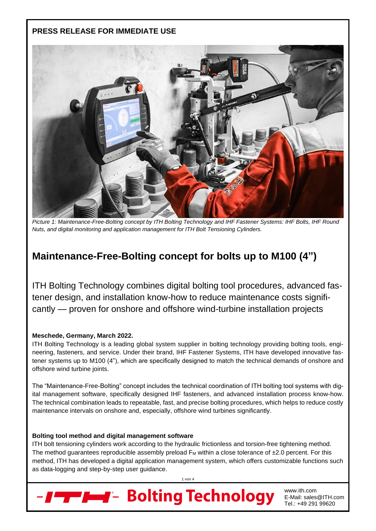### **PRESS RELEASE FOR IMMEDIATE USE**



*Picture 1: Maintenance-Free-Bolting concept by ITH Bolting Technology and IHF Fastener Systems: IHF Bolts, IHF Round Nuts, and digital monitoring and application management for ITH Bolt Tensioning Cylinders.*

## **Maintenance-Free-Bolting concept for bolts up to M100 (4")**

ITH Bolting Technology combines digital bolting tool procedures, advanced fastener design, and installation know-how to reduce maintenance costs significantly — proven for onshore and offshore wind-turbine installation projects

#### **Meschede, Germany, March 2022.**

ITH Bolting Technology is a leading global system supplier in bolting technology providing bolting tools, engineering, fasteners, and service. Under their brand, IHF Fastener Systems, ITH have developed innovative fastener systems up to M100 (4"), which are specifically designed to match the technical demands of onshore and offshore wind turbine joints.

The "Maintenance-Free-Bolting" concept includes the technical coordination of ITH bolting tool systems with digital management software, specifically designed IHF fasteners, and advanced installation process know-how. The technical combination leads to repeatable, fast, and precise bolting procedures, which helps to reduce costly maintenance intervals on onshore and, especially, offshore wind turbines significantly.

#### **Bolting tool method and digital management software**

ITH bolt tensioning cylinders work according to the hydraulic frictionless and torsion-free tightening method. The method guarantees reproducible assembly preload  $F_M$  within a close tolerance of  $\pm 2.0$  percent. For this method, ITH has developed a digital application management system, which offers customizable functions such as data-logging and step-by-step user guidance.

1 von 4



www.ith.com E-Mail: sales@ITH.com Tel.: +49 291 99620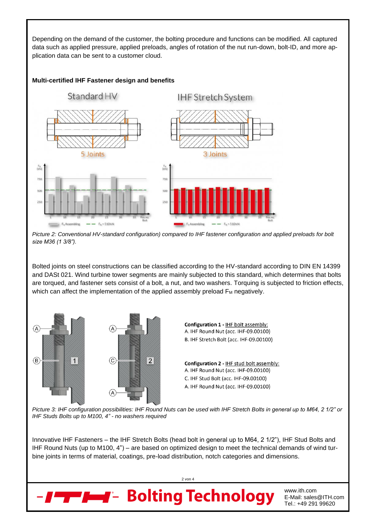Depending on the demand of the customer, the bolting procedure and functions can be modified. All captured data such as applied pressure, applied preloads, angles of rotation of the nut run-down, bolt-ID, and more application data can be sent to a customer cloud.

#### **Multi-certified IHF Fastener design and benefits**



*Picture 2: Conventional HV-standard configuration) compared to IHF fastener configuration and applied preloads for bolt size M36 (1 3/8").*

Bolted joints on steel constructions can be classified according to the HV-standard according to DIN EN 14399 and DASt 021. Wind turbine tower segments are mainly subjected to this standard, which determines that bolts are torqued, and fastener sets consist of a bolt, a nut, and two washers. Torquing is subjected to friction effects, which can affect the implementation of the applied assembly preload  $F_M$  negatively.



*Picture 3: IHF configuration possibilities: IHF Round Nuts can be used with IHF Stretch Bolts in general up to M64, 2 1/2" or IHF Studs Bolts up to M100, 4" - no washers required*

Innovative IHF Fasteners – the IHF Stretch Bolts (head bolt in general up to M64, 2 1/2"), IHF Stud Bolts and IHF Round Nuts (up to M100, 4") – are based on optimized design to meet the technical demands of wind turbine joints in terms of material, coatings, pre-load distribution, notch categories and dimensions.

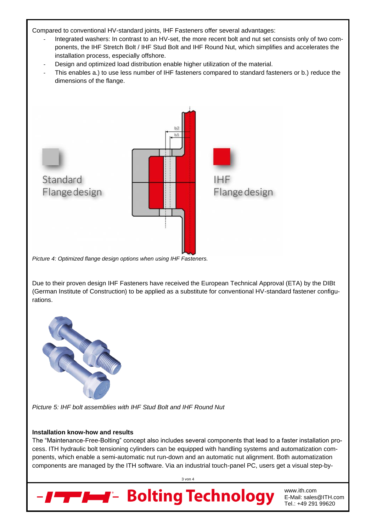Compared to conventional HV-standard joints, IHF Fasteners offer several advantages:

- Integrated washers: In contrast to an HV-set, the more recent bolt and nut set consists only of two components, the IHF Stretch Bolt / IHF Stud Bolt and IHF Round Nut, which simplifies and accelerates the installation process, especially offshore.
- Design and optimized load distribution enable higher utilization of the material.
- This enables a.) to use less number of IHF fasteners compared to standard fasteners or b.) reduce the dimensions of the flange.



*Picture 4: Optimized flange design options when using IHF Fasteners.*

Due to their proven design IHF Fasteners have received the European Technical Approval (ETA) by the DIBt (German Institute of Construction) to be applied as a substitute for conventional HV-standard fastener configurations.



*Picture 5: IHF bolt assemblies with IHF Stud Bolt and IHF Round Nut*

#### **Installation know-how and results**

The "Maintenance-Free-Bolting" concept also includes several components that lead to a faster installation process. ITH hydraulic bolt tensioning cylinders can be equipped with handling systems and automatization components, which enable a semi-automatic nut run-down and an automatic nut alignment. Both automatization components are managed by the ITH software. Via an industrial touch-panel PC, users get a visual step-by-

3 von 4



www.ith.com E-Mail: sales@ITH.com Tel.: +49 291 99620